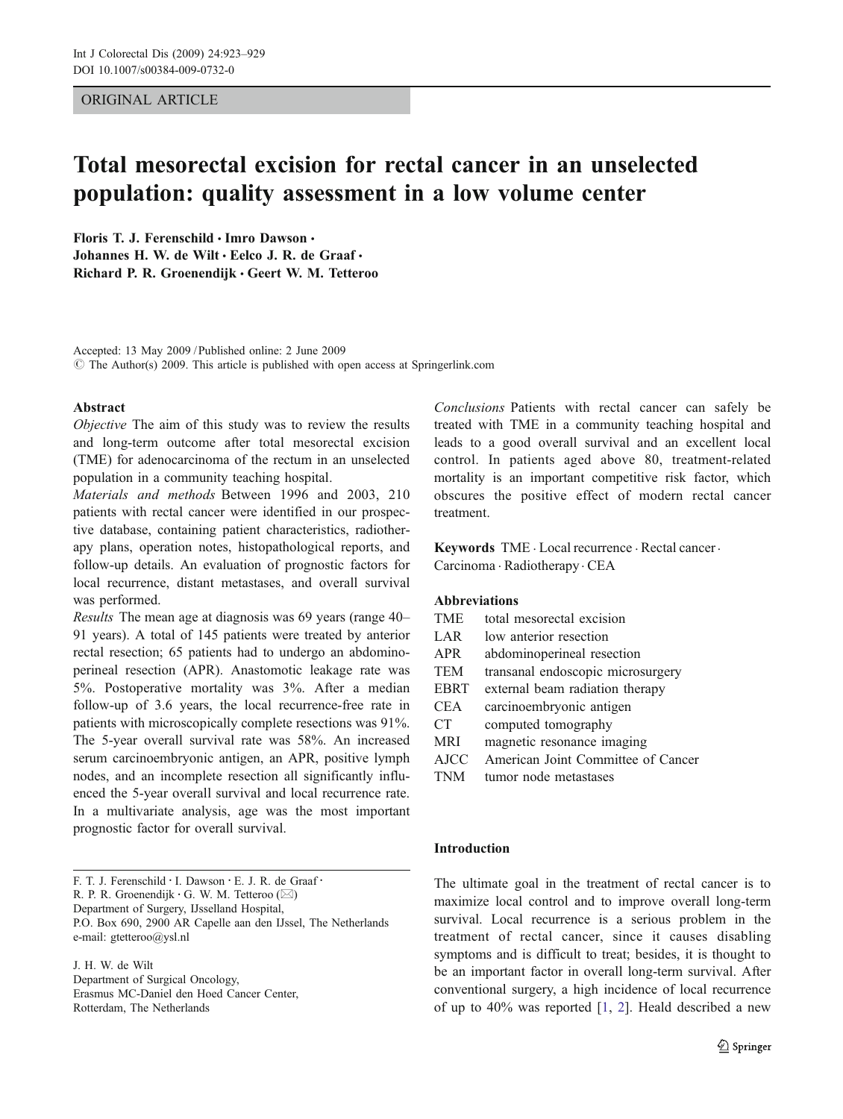## ORIGINAL ARTICLE

# Total mesorectal excision for rectal cancer in an unselected population: quality assessment in a low volume center

Floris T. J. Ferenschild · Imro Dawson · Johannes H. W. de Wilt · Eelco J. R. de Graaf · Richard P. R. Groenendijk · Geert W. M. Tetteroo

Accepted: 13 May 2009 / Published online: 2 June 2009  $\odot$  The Author(s) 2009. This article is published with open access at Springerlink.com

#### Abstract

Objective The aim of this study was to review the results and long-term outcome after total mesorectal excision (TME) for adenocarcinoma of the rectum in an unselected population in a community teaching hospital.

Materials and methods Between 1996 and 2003, 210 patients with rectal cancer were identified in our prospective database, containing patient characteristics, radiotherapy plans, operation notes, histopathological reports, and follow-up details. An evaluation of prognostic factors for local recurrence, distant metastases, and overall survival was performed.

Results The mean age at diagnosis was 69 years (range 40– 91 years). A total of 145 patients were treated by anterior rectal resection; 65 patients had to undergo an abdominoperineal resection (APR). Anastomotic leakage rate was 5%. Postoperative mortality was 3%. After a median follow-up of 3.6 years, the local recurrence-free rate in patients with microscopically complete resections was 91%. The 5-year overall survival rate was 58%. An increased serum carcinoembryonic antigen, an APR, positive lymph nodes, and an incomplete resection all significantly influenced the 5-year overall survival and local recurrence rate. In a multivariate analysis, age was the most important prognostic factor for overall survival.

J. H. W. de Wilt Department of Surgical Oncology, Erasmus MC-Daniel den Hoed Cancer Center, Rotterdam, The Netherlands

Conclusions Patients with rectal cancer can safely be treated with TME in a community teaching hospital and leads to a good overall survival and an excellent local control. In patients aged above 80, treatment-related mortality is an important competitive risk factor, which obscures the positive effect of modern rectal cancer treatment.

Keywords TME . Local recurrence . Rectal cancer. Carcinoma . Radiotherapy . CEA

# Abbreviations

| TME              | total mesorectal excision |
|------------------|---------------------------|
| LAR <sup>1</sup> | low anterior resection    |

- APR abdominoperineal resection
- TEM transanal endoscopic microsurgery
- EBRT external beam radiation therapy
- CEA carcinoembryonic antigen
- CT computed tomography
- MRI magnetic resonance imaging
- AJCC American Joint Committee of Cancer
- TNM tumor node metastases

## Introduction

The ultimate goal in the treatment of rectal cancer is to maximize local control and to improve overall long-term survival. Local recurrence is a serious problem in the treatment of rectal cancer, since it causes disabling symptoms and is difficult to treat; besides, it is thought to be an important factor in overall long-term survival. After conventional surgery, a high incidence of local recurrence of up to 40% was reported [\[1](#page-5-0), [2\]](#page-5-0). Heald described a new

F. T. J. Ferenschild · I. Dawson · E. J. R. de Graaf · R. P. R. Groenendijk : G. W. M. Tetteroo (*\**) Department of Surgery, IJsselland Hospital, P.O. Box 690, 2900 AR Capelle aan den IJssel, The Netherlands e-mail: gtetteroo@ysl.nl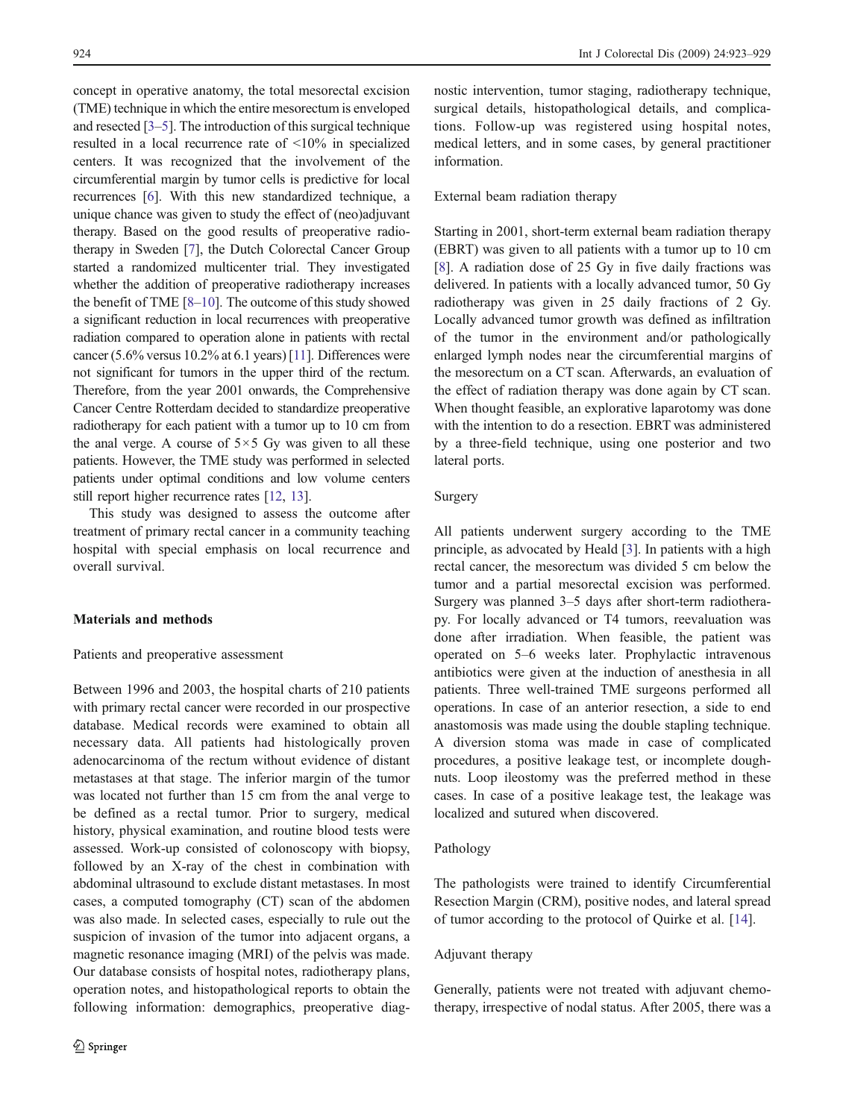concept in operative anatomy, the total mesorectal excision (TME) technique in which the entire mesorectum is enveloped and resected [[3](#page-5-0)–[5](#page-5-0)]. The introduction of this surgical technique resulted in a local recurrence rate of <10% in specialized centers. It was recognized that the involvement of the circumferential margin by tumor cells is predictive for local recurrences [\[6\]](#page-5-0). With this new standardized technique, a unique chance was given to study the effect of (neo)adjuvant therapy. Based on the good results of preoperative radiotherapy in Sweden [\[7\]](#page-5-0), the Dutch Colorectal Cancer Group started a randomized multicenter trial. They investigated whether the addition of preoperative radiotherapy increases the benefit of TME [\[8](#page-5-0)–[10\]](#page-5-0). The outcome of this study showed a significant reduction in local recurrences with preoperative radiation compared to operation alone in patients with rectal cancer (5.6% versus 10.2% at 6.1 years) [\[11\]](#page-5-0). Differences were not significant for tumors in the upper third of the rectum. Therefore, from the year 2001 onwards, the Comprehensive Cancer Centre Rotterdam decided to standardize preoperative radiotherapy for each patient with a tumor up to 10 cm from the anal verge. A course of  $5 \times 5$  Gy was given to all these patients. However, the TME study was performed in selected patients under optimal conditions and low volume centers still report higher recurrence rates [[12,](#page-5-0) [13\]](#page-5-0).

This study was designed to assess the outcome after treatment of primary rectal cancer in a community teaching hospital with special emphasis on local recurrence and overall survival.

#### Materials and methods

#### Patients and preoperative assessment

Between 1996 and 2003, the hospital charts of 210 patients with primary rectal cancer were recorded in our prospective database. Medical records were examined to obtain all necessary data. All patients had histologically proven adenocarcinoma of the rectum without evidence of distant metastases at that stage. The inferior margin of the tumor was located not further than 15 cm from the anal verge to be defined as a rectal tumor. Prior to surgery, medical history, physical examination, and routine blood tests were assessed. Work-up consisted of colonoscopy with biopsy, followed by an X-ray of the chest in combination with abdominal ultrasound to exclude distant metastases. In most cases, a computed tomography (CT) scan of the abdomen was also made. In selected cases, especially to rule out the suspicion of invasion of the tumor into adjacent organs, a magnetic resonance imaging (MRI) of the pelvis was made. Our database consists of hospital notes, radiotherapy plans, operation notes, and histopathological reports to obtain the following information: demographics, preoperative diagnostic intervention, tumor staging, radiotherapy technique, surgical details, histopathological details, and complications. Follow-up was registered using hospital notes, medical letters, and in some cases, by general practitioner information.

#### External beam radiation therapy

Starting in 2001, short-term external beam radiation therapy (EBRT) was given to all patients with a tumor up to 10 cm [\[8](#page-5-0)]. A radiation dose of 25 Gy in five daily fractions was delivered. In patients with a locally advanced tumor, 50 Gy radiotherapy was given in 25 daily fractions of 2 Gy. Locally advanced tumor growth was defined as infiltration of the tumor in the environment and/or pathologically enlarged lymph nodes near the circumferential margins of the mesorectum on a CT scan. Afterwards, an evaluation of the effect of radiation therapy was done again by CT scan. When thought feasible, an explorative laparotomy was done with the intention to do a resection. EBRT was administered by a three-field technique, using one posterior and two lateral ports.

# Surgery

All patients underwent surgery according to the TME principle, as advocated by Heald [[3\]](#page-5-0). In patients with a high rectal cancer, the mesorectum was divided 5 cm below the tumor and a partial mesorectal excision was performed. Surgery was planned 3–5 days after short-term radiotherapy. For locally advanced or T4 tumors, reevaluation was done after irradiation. When feasible, the patient was operated on 5–6 weeks later. Prophylactic intravenous antibiotics were given at the induction of anesthesia in all patients. Three well-trained TME surgeons performed all operations. In case of an anterior resection, a side to end anastomosis was made using the double stapling technique. A diversion stoma was made in case of complicated procedures, a positive leakage test, or incomplete doughnuts. Loop ileostomy was the preferred method in these cases. In case of a positive leakage test, the leakage was localized and sutured when discovered.

## Pathology

The pathologists were trained to identify Circumferential Resection Margin (CRM), positive nodes, and lateral spread of tumor according to the protocol of Quirke et al. [[14\]](#page-5-0).

#### Adjuvant therapy

Generally, patients were not treated with adjuvant chemotherapy, irrespective of nodal status. After 2005, there was a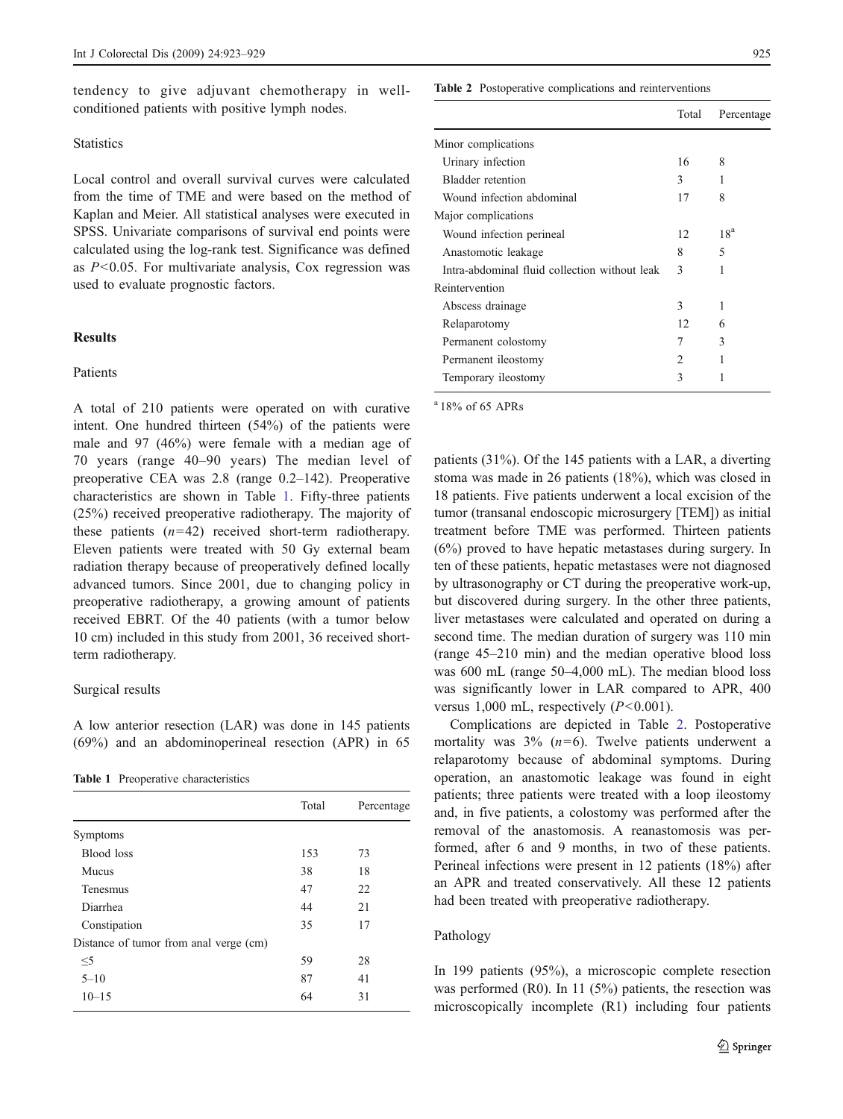tendency to give adjuvant chemotherapy in wellconditioned patients with positive lymph nodes.

#### **Statistics**

Local control and overall survival curves were calculated from the time of TME and were based on the method of Kaplan and Meier. All statistical analyses were executed in SPSS. Univariate comparisons of survival end points were calculated using the log-rank test. Significance was defined as  $P<0.05$ . For multivariate analysis, Cox regression was used to evaluate prognostic factors.

#### **Results**

#### Patients

A total of 210 patients were operated on with curative intent. One hundred thirteen (54%) of the patients were male and 97 (46%) were female with a median age of 70 years (range 40–90 years) The median level of preoperative CEA was 2.8 (range 0.2–142). Preoperative characteristics are shown in Table 1. Fifty-three patients (25%) received preoperative radiotherapy. The majority of these patients  $(n=42)$  received short-term radiotherapy. Eleven patients were treated with 50 Gy external beam radiation therapy because of preoperatively defined locally advanced tumors. Since 2001, due to changing policy in preoperative radiotherapy, a growing amount of patients received EBRT. Of the 40 patients (with a tumor below 10 cm) included in this study from 2001, 36 received shortterm radiotherapy.

#### Surgical results

A low anterior resection (LAR) was done in 145 patients (69%) and an abdominoperineal resection (APR) in 65

Table 1 Preoperative characteristics

|                                        | Total | Percentage |
|----------------------------------------|-------|------------|
| Symptoms                               |       |            |
| Blood loss                             | 153   | 73         |
| Mucus                                  | 38    | 18         |
| Tenesmus                               | 47    | 22         |
| Diarrhea                               | 44    | 21         |
| Constipation                           | 35    | 17         |
| Distance of tumor from anal verge (cm) |       |            |
| $\leq$ 5                               | 59    | 28         |
| $5 - 10$                               | 87    | 41         |
| $10 - 15$                              | 64    | 31         |

#### Table 2 Postoperative complications and reinterventions

|                                               | Total          | Percentage      |
|-----------------------------------------------|----------------|-----------------|
| Minor complications                           |                |                 |
| Urinary infection                             | 16             | 8               |
| Bladder retention                             | 3              |                 |
| Wound infection abdominal                     | 17             | 8               |
| Major complications                           |                |                 |
| Wound infection perineal                      | 12             | 18 <sup>a</sup> |
| Anastomotic leakage                           | 8              | 5               |
| Intra-abdominal fluid collection without leak | 3              | 1               |
| Reintervention                                |                |                 |
| Abscess drainage                              | 3              | 1               |
| Relaparotomy                                  | 12.            | 6               |
| Permanent colostomy                           | 7              | 3               |
| Permanent ileostomy                           | $\mathfrak{D}$ | 1               |
| Temporary ileostomy                           | 3              |                 |
|                                               |                |                 |

a 18% of 65 APRs

patients (31%). Of the 145 patients with a LAR, a diverting stoma was made in 26 patients (18%), which was closed in 18 patients. Five patients underwent a local excision of the tumor (transanal endoscopic microsurgery [TEM]) as initial treatment before TME was performed. Thirteen patients (6%) proved to have hepatic metastases during surgery. In ten of these patients, hepatic metastases were not diagnosed by ultrasonography or CT during the preoperative work-up, but discovered during surgery. In the other three patients, liver metastases were calculated and operated on during a second time. The median duration of surgery was 110 min (range 45–210 min) and the median operative blood loss was 600 mL (range 50–4,000 mL). The median blood loss was significantly lower in LAR compared to APR, 400 versus 1,000 mL, respectively  $(P<0.001)$ .

Complications are depicted in Table 2. Postoperative mortality was  $3\%$  ( $n=6$ ). Twelve patients underwent a relaparotomy because of abdominal symptoms. During operation, an anastomotic leakage was found in eight patients; three patients were treated with a loop ileostomy and, in five patients, a colostomy was performed after the removal of the anastomosis. A reanastomosis was performed, after 6 and 9 months, in two of these patients. Perineal infections were present in 12 patients (18%) after an APR and treated conservatively. All these 12 patients had been treated with preoperative radiotherapy.

## Pathology

In 199 patients (95%), a microscopic complete resection was performed (R0). In 11 (5%) patients, the resection was microscopically incomplete (R1) including four patients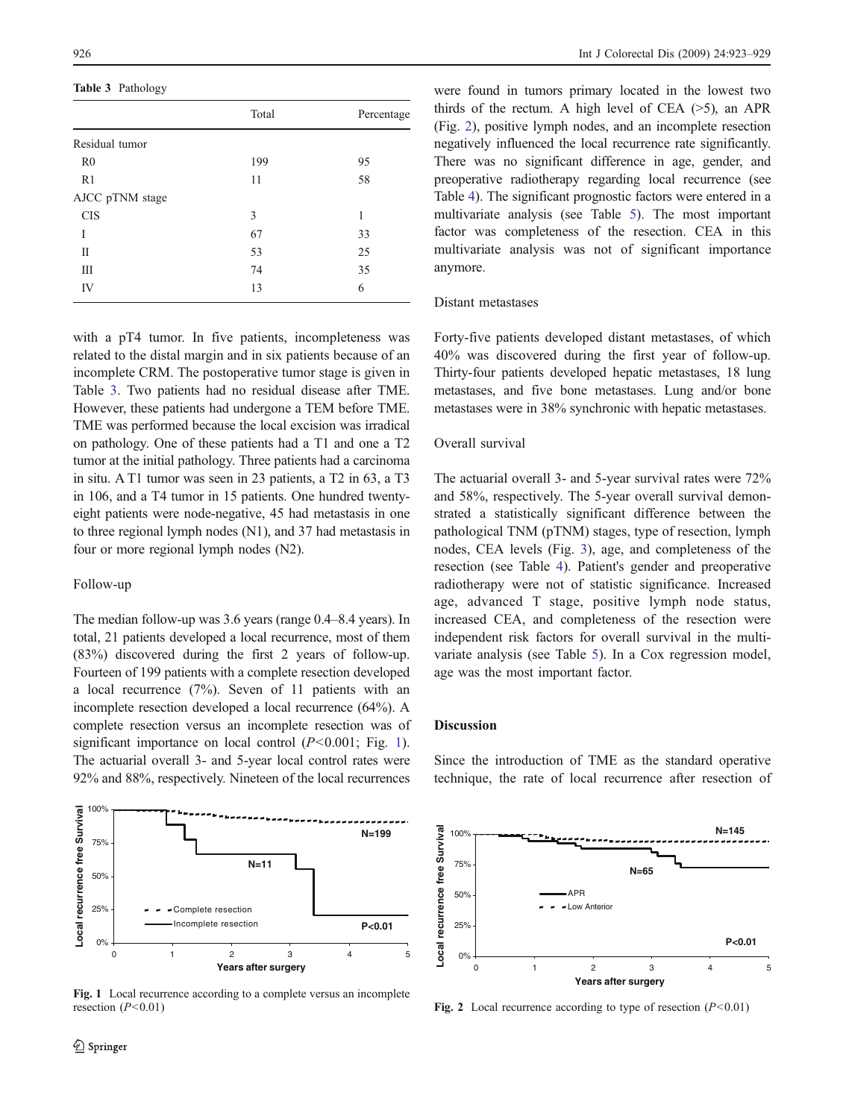Table 3 Pathology

|                 | Total | Percentage |
|-----------------|-------|------------|
| Residual tumor  |       |            |
| R <sub>0</sub>  | 199   | 95         |
| R <sub>1</sub>  | 11    | 58         |
| AJCC pTNM stage |       |            |
| <b>CIS</b>      | 3     | 1          |
| Ī               | 67    | 33         |
| П               | 53    | 25         |
| Ш               | 74    | 35         |
| IV              | 13    | 6          |

with a pT4 tumor. In five patients, incompleteness was related to the distal margin and in six patients because of an incomplete CRM. The postoperative tumor stage is given in Table 3. Two patients had no residual disease after TME. However, these patients had undergone a TEM before TME. TME was performed because the local excision was irradical on pathology. One of these patients had a T1 and one a T2 tumor at the initial pathology. Three patients had a carcinoma in situ. A T1 tumor was seen in 23 patients, a T2 in 63, a T3 in 106, and a T4 tumor in 15 patients. One hundred twentyeight patients were node-negative, 45 had metastasis in one to three regional lymph nodes (N1), and 37 had metastasis in four or more regional lymph nodes (N2).

#### Follow-up

The median follow-up was 3.6 years (range 0.4–8.4 years). In total, 21 patients developed a local recurrence, most of them (83%) discovered during the first 2 years of follow-up. Fourteen of 199 patients with a complete resection developed a local recurrence (7%). Seven of 11 patients with an incomplete resection developed a local recurrence (64%). A complete resection versus an incomplete resection was of significant importance on local control  $(P<0.001$ ; Fig. 1). The actuarial overall 3- and 5-year local control rates were 92% and 88%, respectively. Nineteen of the local recurrences



were found in tumors primary located in the lowest two thirds of the rectum. A high level of CEA  $(>5)$ , an APR (Fig. 2), positive lymph nodes, and an incomplete resection negatively influenced the local recurrence rate significantly. There was no significant difference in age, gender, and preoperative radiotherapy regarding local recurrence (see Table [4\)](#page-4-0). The significant prognostic factors were entered in a multivariate analysis (see Table [5\)](#page-4-0). The most important factor was completeness of the resection. CEA in this multivariate analysis was not of significant importance anymore.

# Distant metastases

Forty-five patients developed distant metastases, of which 40% was discovered during the first year of follow-up. Thirty-four patients developed hepatic metastases, 18 lung metastases, and five bone metastases. Lung and/or bone metastases were in 38% synchronic with hepatic metastases.

#### Overall survival

The actuarial overall 3- and 5-year survival rates were 72% and 58%, respectively. The 5-year overall survival demonstrated a statistically significant difference between the pathological TNM (pTNM) stages, type of resection, lymph nodes, CEA levels (Fig. [3](#page-4-0)), age, and completeness of the resection (see Table [4](#page-4-0)). Patient's gender and preoperative radiotherapy were not of statistic significance. Increased age, advanced T stage, positive lymph node status, increased CEA, and completeness of the resection were independent risk factors for overall survival in the multivariate analysis (see Table [5](#page-4-0)). In a Cox regression model, age was the most important factor.

## Discussion

**N=199**

**N=145**  ocal recurrence free Survival **Local recurrence free Survival** 100% 75% **N=65**  50% APR - Low Anterior 25% **P<0.01**  0% 012345 **Years after surgery**

Fig. 1 Local recurrence according to a complete versus an incomplete resection  $(P<0.01)$ 

75%

100%



Fig. 2 Local recurrence according to type of resection  $(P<0.01)$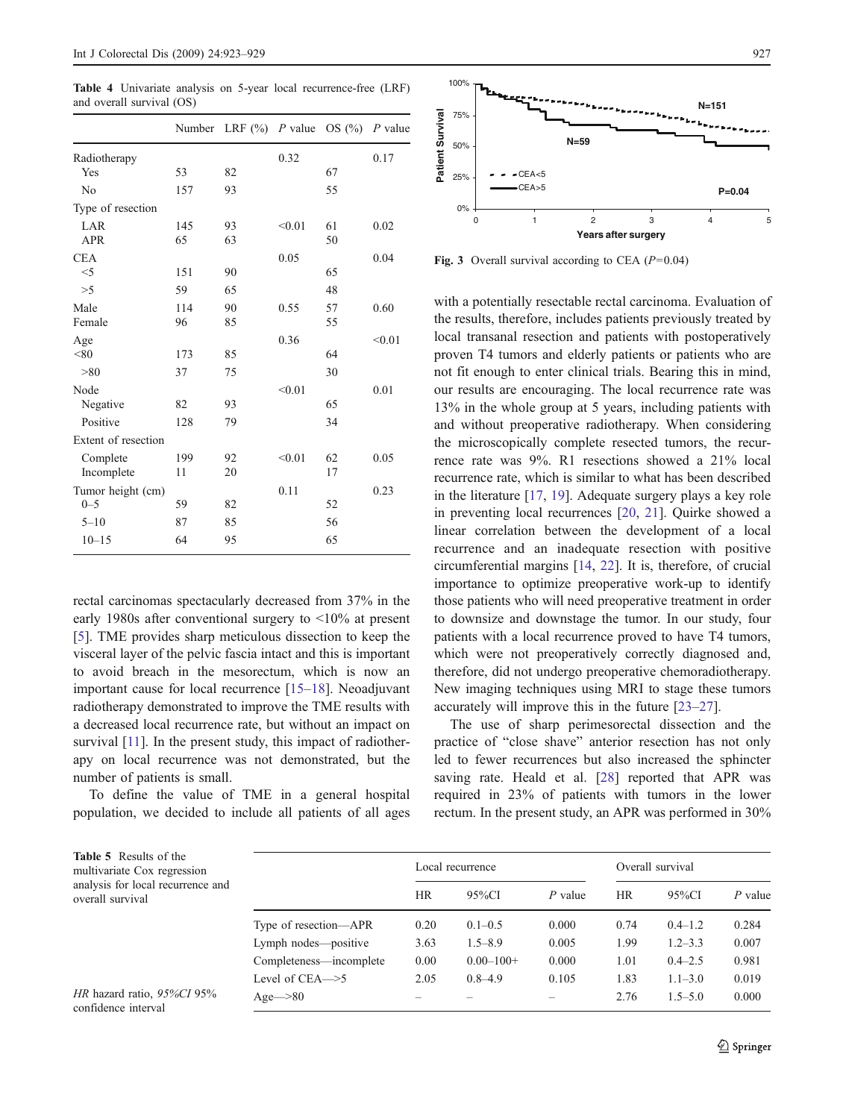<span id="page-4-0"></span>Table 4 Univariate analysis on 5-year local recurrence-free (LRF) and overall survival (OS)

|                                      |                 | Number LRF $(\%)$ P value OS $(\%)$ P value |        |                |        |
|--------------------------------------|-----------------|---------------------------------------------|--------|----------------|--------|
| Radiotherapy<br>Yes                  | 53              | 82                                          | 0.32   | 67             | 0.17   |
| No                                   | 157             | 93                                          |        | 55             |        |
| Type of resection                    |                 |                                             |        |                |        |
| LAR<br><b>APR</b>                    | 145<br>65       | 93<br>63                                    | < 0.01 | 61<br>50       | 0.02   |
| <b>CEA</b><br>$<$ 5<br>>5            | 151<br>59       | 90<br>65                                    | 0.05   | 65<br>48       | 0.04   |
| Male<br>Female                       | 114<br>96       | 90<br>85                                    | 0.55   | 57<br>55       | 0.60   |
| Age<br>< 80                          | 173             | 85                                          | 0.36   | 64             | < 0.01 |
| > 80<br>Node<br>Negative<br>Positive | 37<br>82<br>128 | 75<br>93<br>79                              | < 0.01 | 30<br>65<br>34 | 0.01   |
| Extent of resection                  |                 |                                             |        |                |        |
| Complete<br>Incomplete               | 199<br>11       | 92<br>20                                    | < 0.01 | 62<br>17       | 0.05   |
| Tumor height (cm)<br>$0 - 5$         | 59              | 82                                          | 0.11   | 52             | 0.23   |
| $5 - 10$<br>$10 - 15$                | 87<br>64        | 85<br>95                                    |        | 56<br>65       |        |

rectal carcinomas spectacularly decreased from 37% in the early 1980s after conventional surgery to <10% at present [[5\]](#page-5-0). TME provides sharp meticulous dissection to keep the visceral layer of the pelvic fascia intact and this is important to avoid breach in the mesorectum, which is now an important cause for local recurrence [[15](#page-5-0)–[18\]](#page-5-0). Neoadjuvant radiotherapy demonstrated to improve the TME results with a decreased local recurrence rate, but without an impact on survival [[11](#page-5-0)]. In the present study, this impact of radiotherapy on local recurrence was not demonstrated, but the number of patients is small.

To define the value of TME in a general hospital population, we decided to include all patients of all ages



Fig. 3 Overall survival according to CEA  $(P=0.04)$ 

with a potentially resectable rectal carcinoma. Evaluation of the results, therefore, includes patients previously treated by local transanal resection and patients with postoperatively proven T4 tumors and elderly patients or patients who are not fit enough to enter clinical trials. Bearing this in mind, our results are encouraging. The local recurrence rate was 13% in the whole group at 5 years, including patients with and without preoperative radiotherapy. When considering the microscopically complete resected tumors, the recurrence rate was 9%. R1 resections showed a 21% local recurrence rate, which is similar to what has been described in the literature [[17,](#page-5-0) [19](#page-5-0)]. Adequate surgery plays a key role in preventing local recurrences [[20](#page-5-0), [21\]](#page-6-0). Quirke showed a linear correlation between the development of a local recurrence and an inadequate resection with positive circumferential margins [[14](#page-5-0), [22](#page-6-0)]. It is, therefore, of crucial importance to optimize preoperative work-up to identify those patients who will need preoperative treatment in order to downsize and downstage the tumor. In our study, four patients with a local recurrence proved to have T4 tumors, which were not preoperatively correctly diagnosed and, therefore, did not undergo preoperative chemoradiotherapy. New imaging techniques using MRI to stage these tumors accurately will improve this in the future [\[23](#page-6-0)–[27](#page-6-0)].

The use of sharp perimesorectal dissection and the practice of "close shave" anterior resection has not only led to fewer recurrences but also increased the sphincter saving rate. Heald et al. [\[28](#page-6-0)] reported that APR was required in 23% of patients with tumors in the lower rectum. In the present study, an APR was performed in 30%

| <b>Table 5</b> Results of the<br>multivariate Cox regression<br>analysis for local recurrence and<br>overall survival |                         | Local recurrence |                |         | Overall survival |             |           |
|-----------------------------------------------------------------------------------------------------------------------|-------------------------|------------------|----------------|---------|------------------|-------------|-----------|
|                                                                                                                       |                         | <b>HR</b>        | 95%CI          | P value | <b>HR</b>        | 95%CI       | $P$ value |
|                                                                                                                       | Type of resection—APR   | 0.20             | $0.1 - 0.5$    | 0.000   | 0.74             | $0.4 - 1.2$ | 0.284     |
|                                                                                                                       | Lymph nodes—positive    | 3.63             | $1.5 - 8.9$    | 0.005   | 1.99             | $1.2 - 3.3$ | 0.007     |
|                                                                                                                       | Completeness—incomplete | 0.00             | $0.00 - 100 +$ | 0.000   | 1.01             | $0.4 - 2.5$ | 0.981     |
|                                                                                                                       | Level of CEA—>5         | 2.05             | $0.8 - 4.9$    | 0.105   | 1.83             | $1.1 - 3.0$ | 0.019     |
| HR hazard ratio, 95%CI 95%<br>confidence interval                                                                     | $Age\rightarrow 80$     |                  |                |         | 2.76             | $1.5 - 5.0$ | 0.000     |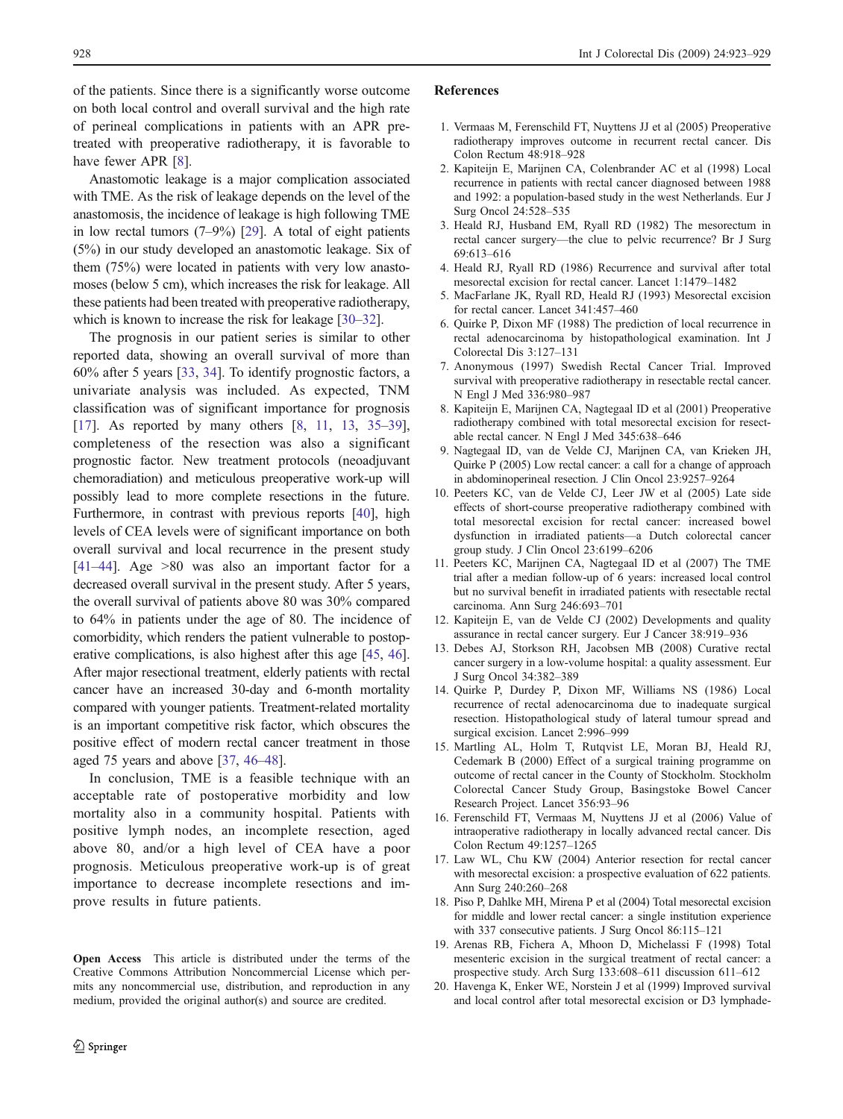<span id="page-5-0"></span>of the patients. Since there is a significantly worse outcome on both local control and overall survival and the high rate of perineal complications in patients with an APR pretreated with preoperative radiotherapy, it is favorable to have fewer APR [8].

Anastomotic leakage is a major complication associated with TME. As the risk of leakage depends on the level of the anastomosis, the incidence of leakage is high following TME in low rectal tumors (7–9%) [\[29](#page-6-0)]. A total of eight patients (5%) in our study developed an anastomotic leakage. Six of them (75%) were located in patients with very low anastomoses (below 5 cm), which increases the risk for leakage. All these patients had been treated with preoperative radiotherapy, which is known to increase the risk for leakage [\[30](#page-6-0)–[32\]](#page-6-0).

The prognosis in our patient series is similar to other reported data, showing an overall survival of more than 60% after 5 years [\[33](#page-6-0), [34](#page-6-0)]. To identify prognostic factors, a univariate analysis was included. As expected, TNM classification was of significant importance for prognosis [17]. As reported by many others [8, 11, 13, [35](#page-6-0)–[39](#page-6-0)], completeness of the resection was also a significant prognostic factor. New treatment protocols (neoadjuvant chemoradiation) and meticulous preoperative work-up will possibly lead to more complete resections in the future. Furthermore, in contrast with previous reports [[40\]](#page-6-0), high levels of CEA levels were of significant importance on both overall survival and local recurrence in the present study [[41](#page-6-0)–[44\]](#page-6-0). Age >80 was also an important factor for a decreased overall survival in the present study. After 5 years, the overall survival of patients above 80 was 30% compared to 64% in patients under the age of 80. The incidence of comorbidity, which renders the patient vulnerable to postoperative complications, is also highest after this age [[45,](#page-6-0) [46](#page-6-0)]. After major resectional treatment, elderly patients with rectal cancer have an increased 30-day and 6-month mortality compared with younger patients. Treatment-related mortality is an important competitive risk factor, which obscures the positive effect of modern rectal cancer treatment in those aged 75 years and above [[37,](#page-6-0) [46](#page-6-0)–[48\]](#page-6-0).

In conclusion, TME is a feasible technique with an acceptable rate of postoperative morbidity and low mortality also in a community hospital. Patients with positive lymph nodes, an incomplete resection, aged above 80, and/or a high level of CEA have a poor prognosis. Meticulous preoperative work-up is of great importance to decrease incomplete resections and improve results in future patients.

Open Access This article is distributed under the terms of the Creative Commons Attribution Noncommercial License which permits any noncommercial use, distribution, and reproduction in any medium, provided the original author(s) and source are credited.

#### References

- 1. Vermaas M, Ferenschild FT, Nuyttens JJ et al (2005) Preoperative radiotherapy improves outcome in recurrent rectal cancer. Dis Colon Rectum 48:918–928
- 2. Kapiteijn E, Marijnen CA, Colenbrander AC et al (1998) Local recurrence in patients with rectal cancer diagnosed between 1988 and 1992: a population-based study in the west Netherlands. Eur J Surg Oncol 24:528–535
- 3. Heald RJ, Husband EM, Ryall RD (1982) The mesorectum in rectal cancer surgery—the clue to pelvic recurrence? Br J Surg 69:613–616
- 4. Heald RJ, Ryall RD (1986) Recurrence and survival after total mesorectal excision for rectal cancer. Lancet 1:1479–1482
- 5. MacFarlane JK, Ryall RD, Heald RJ (1993) Mesorectal excision for rectal cancer. Lancet 341:457–460
- 6. Quirke P, Dixon MF (1988) The prediction of local recurrence in rectal adenocarcinoma by histopathological examination. Int J Colorectal Dis 3:127–131
- 7. Anonymous (1997) Swedish Rectal Cancer Trial. Improved survival with preoperative radiotherapy in resectable rectal cancer. N Engl J Med 336:980–987
- 8. Kapiteijn E, Marijnen CA, Nagtegaal ID et al (2001) Preoperative radiotherapy combined with total mesorectal excision for resectable rectal cancer. N Engl J Med 345:638–646
- 9. Nagtegaal ID, van de Velde CJ, Marijnen CA, van Krieken JH, Quirke P (2005) Low rectal cancer: a call for a change of approach in abdominoperineal resection. J Clin Oncol 23:9257–9264
- 10. Peeters KC, van de Velde CJ, Leer JW et al (2005) Late side effects of short-course preoperative radiotherapy combined with total mesorectal excision for rectal cancer: increased bowel dysfunction in irradiated patients—a Dutch colorectal cancer group study. J Clin Oncol 23:6199–6206
- 11. Peeters KC, Marijnen CA, Nagtegaal ID et al (2007) The TME trial after a median follow-up of 6 years: increased local control but no survival benefit in irradiated patients with resectable rectal carcinoma. Ann Surg 246:693–701
- 12. Kapiteijn E, van de Velde CJ (2002) Developments and quality assurance in rectal cancer surgery. Eur J Cancer 38:919–936
- 13. Debes AJ, Storkson RH, Jacobsen MB (2008) Curative rectal cancer surgery in a low-volume hospital: a quality assessment. Eur J Surg Oncol 34:382–389
- 14. Quirke P, Durdey P, Dixon MF, Williams NS (1986) Local recurrence of rectal adenocarcinoma due to inadequate surgical resection. Histopathological study of lateral tumour spread and surgical excision. Lancet 2:996–999
- 15. Martling AL, Holm T, Rutqvist LE, Moran BJ, Heald RJ, Cedemark B (2000) Effect of a surgical training programme on outcome of rectal cancer in the County of Stockholm. Stockholm Colorectal Cancer Study Group, Basingstoke Bowel Cancer Research Project. Lancet 356:93–96
- 16. Ferenschild FT, Vermaas M, Nuyttens JJ et al (2006) Value of intraoperative radiotherapy in locally advanced rectal cancer. Dis Colon Rectum 49:1257–1265
- 17. Law WL, Chu KW (2004) Anterior resection for rectal cancer with mesorectal excision: a prospective evaluation of 622 patients. Ann Surg 240:260–268
- 18. Piso P, Dahlke MH, Mirena P et al (2004) Total mesorectal excision for middle and lower rectal cancer: a single institution experience with 337 consecutive patients. J Surg Oncol 86:115–121
- 19. Arenas RB, Fichera A, Mhoon D, Michelassi F (1998) Total mesenteric excision in the surgical treatment of rectal cancer: a prospective study. Arch Surg 133:608–611 discussion 611–612
- 20. Havenga K, Enker WE, Norstein J et al (1999) Improved survival and local control after total mesorectal excision or D3 lymphade-